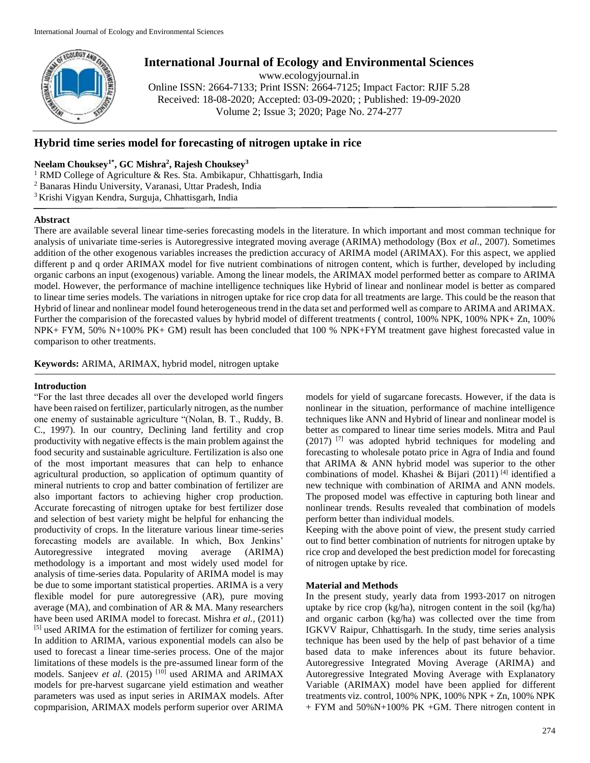

# **International Journal of Ecology and Environmental Sciences**

www.ecologyjournal.in

Online ISSN: 2664-7133; Print ISSN: 2664-7125; Impact Factor: RJIF 5.28 Received: 18-08-2020; Accepted: 03-09-2020; ; Published: 19-09-2020 Volume 2; Issue 3; 2020; Page No. 274-277

## **Hybrid time series model for forecasting of nitrogen uptake in rice**

## **Neelam Chouksey1\*, GC Mishra<sup>2</sup> , Rajesh Chouksey<sup>3</sup>**

- <sup>1</sup> RMD College of Agriculture & Res. Sta. Ambikapur, Chhattisgarh, India
- <sup>2</sup> Banaras Hindu University, Varanasi, Uttar Pradesh, India
- <sup>3</sup> Krishi Vigyan Kendra, Surguja, Chhattisgarh, India

### **Abstract**

There are available several linear time-series forecasting models in the literature. In which important and most comman technique for analysis of univariate time-series is Autoregressive integrated moving average (ARIMA) methodology (Box *et al*., 2007). Sometimes addition of the other exogenous variables increases the prediction accuracy of ARIMA model (ARIMAX). For this aspect, we applied different p and q order ARIMAX model for five nutrient combinations of nitrogen content, which is further, developed by including organic carbons an input (exogenous) variable. Among the linear models, the ARIMAX model performed better as compare to ARIMA model. However, the performance of machine intelligence techniques like Hybrid of linear and nonlinear model is better as compared to linear time series models. The variations in nitrogen uptake for rice crop data for all treatments are large. This could be the reason that Hybrid of linear and nonlinear model found heterogeneous trend in the data set and performed well as compare to ARIMA and ARIMAX. Further the comparision of the forecasted values by hybrid model of different treatments (control, 100% NPK, 100% NPK+ Zn, 100% NPK+ FYM, 50% N+100% PK+ GM) result has been concluded that 100 % NPK+FYM treatment gave highest forecasted value in comparison to other treatments.

**Keywords:** ARIMA, ARIMAX, hybrid model, nitrogen uptake

## **Introduction**

"For the last three decades all over the developed world fingers have been raised on fertilizer, particularly nitrogen, as the number one enemy of sustainable agriculture "(Nolan, B. T., Ruddy, B. C., 1997). In our country, Declining land fertility and crop productivity with negative effects is the main problem against the food security and sustainable agriculture. Fertilization is also one of the most important measures that can help to enhance agricultural production, so application of optimum quantity of mineral nutrients to crop and batter combination of fertilizer are also important factors to achieving higher crop production. Accurate forecasting of nitrogen uptake for best fertilizer dose and selection of best variety might be helpful for enhancing the productivity of crops. In the literature various linear time-series forecasting models are available. In which, Box Jenkins' Autoregressive integrated moving average (ARIMA) methodology is a important and most widely used model for analysis of time-series data. Popularity of ARIMA model is may be due to some important statistical properties. ARIMA is a very flexible model for pure autoregressive (AR), pure moving average (MA), and combination of AR & MA. Many researchers have been used ARIMA model to forecast. Mishra *et al.,* (2011) [5] used ARIMA for the estimation of fertilizer for coming years. In addition to ARIMA, various exponential models can also be used to forecast a linear time-series process. One of the major limitations of these models is the pre-assumed linear form of the models. Sanjeev *et al*. (2015) [10] used ARIMA and ARIMAX models for pre-harvest sugarcane yield estimation and weather parameters was used as input series in ARIMAX models. After copmparision, ARIMAX models perform superior over ARIMA

models for yield of sugarcane forecasts. However, if the data is nonlinear in the situation, performance of machine intelligence techniques like ANN and Hybrid of linear and nonlinear model is better as compared to linear time series models. Mitra and Paul (2017) [7] was adopted hybrid techniques for modeling and forecasting to wholesale potato price in Agra of India and found that ARIMA & ANN hybrid model was superior to the other combinations of model. Khashei & Bijari (2011) [4] identified a new technique with combination of ARIMA and ANN models. The proposed model was effective in capturing both linear and nonlinear trends. Results revealed that combination of models perform better than individual models.

Keeping with the above point of view, the present study carried out to find better combination of nutrients for nitrogen uptake by rice crop and developed the best prediction model for forecasting of nitrogen uptake by rice.

## **Material and Methods**

In the present study, yearly data from 1993-2017 on nitrogen uptake by rice crop (kg/ha), nitrogen content in the soil (kg/ha) and organic carbon (kg/ha) was collected over the time from IGKVV Raipur, Chhattisgarh. In the study, time series analysis technique has been used by the help of past behavior of a time based data to make inferences about its future behavior. Autoregressive Integrated Moving Average (ARIMA) and Autoregressive Integrated Moving Average with Explanatory Variable (ARIMAX) model have been applied for different treatments viz. control, 100% NPK, 100% NPK + Zn, 100% NPK + FYM and 50%N+100% PK +GM. There nitrogen content in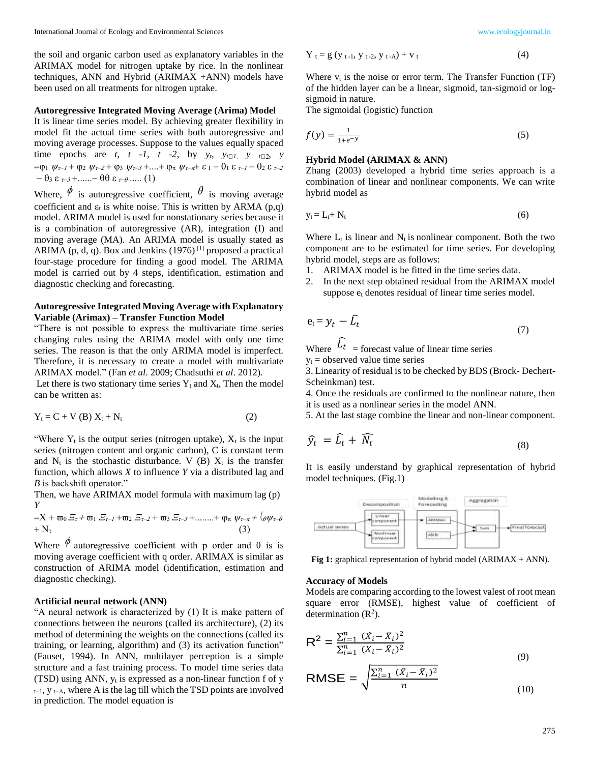the soil and organic carbon used as explanatory variables in the ARIMAX model for nitrogen uptake by rice. In the nonlinear techniques, ANN and Hybrid (ARIMAX +ANN) models have been used on all treatments for nitrogen uptake.

#### **Autoregressive Integrated Moving Average (Arima) Model**

It is linear time series model. By achieving greater flexibility in model fit the actual time series with both autoregressive and moving average processes. Suppose to the values equally spaced time epochs are *t*, *t* -*1*, *t* -2, by  $y_t$ ,  $y_{t \square}$ ,  $y_{t \square}$ ,  $y$  $=$ (01  $\psi$ *r*-1 + (02  $\psi$ *r*-2 + (03  $\psi$ *r*-3 +...+ (0*π*  $\psi$ *r*-*π*+  $\epsilon$  1 -  $\theta$ 1  $\epsilon$  *r*-1 -  $\theta$ 2  $\epsilon$  *r*-2  $-\theta_3 \varepsilon_{\tau-3} + \dots - \theta \theta \varepsilon_{\tau-\theta} \dots (1)$ 

Where,  $\phi$  is autoregressive coefficient,  $\theta$  is moving average coefficient and  $\varepsilon_t$  is white noise. This is written by ARMA (p,q) model. ARIMA model is used for nonstationary series because it is a combination of autoregressive (AR), integration (I) and moving average (MA). An ARIMA model is usually stated as ARIMA (p, d, q). Box and Jenkins (1976)<sup>[1]</sup> proposed a practical four-stage procedure for finding a good model. The ARIMA model is carried out by 4 steps, identification, estimation and diagnostic checking and forecasting.

### **Autoregressive Integrated Moving Average with Explanatory Variable (Arimax) – Transfer Function Model**

"There is not possible to express the multivariate time series changing rules using the ARIMA model with only one time series. The reason is that the only ARIMA model is imperfect. Therefore, it is necessary to create a model with multivariate ARIMAX model." (Fan *et al*. 2009; Chadsuthi *et al*. 2012).

Let there is two stationary time series  $Y_t$  and  $X_t$ . Then the model can be written as:

$$
Y_t = C + V(B) X_t + N_t
$$
 (2)

"Where  $Y_t$  is the output series (nitrogen uptake),  $X_t$  is the input series (nitrogen content and organic carbon), C is constant term and  $N_t$  is the stochastic disturbance. V (B)  $X_t$  is the transfer function, which allows *X* to influence *Y* via a distributed lag and *B* is backshift operator."

Then, we have ARIMAX model formula with maximum lag (p) *Y* 

$$
= X + \varpi_0 E_{\tau} + \varpi_1 E_{\tau-1} + \varpi_2 E_{\tau-2} + \varpi_3 E_{\tau-3} + \dots + \varphi_{\pi} \psi_{\tau-\pi} + (\theta \psi_{\tau-\theta} + N_{\tau})
$$
\n
$$
+ N_{\tau}
$$
\n(3)

Where  $\phi$  autoregressive coefficient with p order and  $\theta$  is is moving average coefficient with q order. ARIMAX is similar as construction of ARIMA model (identification, estimation and diagnostic checking).

#### **Artificial neural network (ANN)**

"A neural network is characterized by (1) It is make pattern of connections between the neurons (called its architecture), (2) its method of determining the weights on the connections (called its training, or learning, algorithm) and (3) its activation function" (Fauset, 1994). In ANN, multilayer perception is a simple structure and a fast training process. To model time series data (TSD) using ANN, y<sup>t</sup> is expressed as a non-linear function f of y  $t-1$ ,  $y$   $t-A$ , where A is the lag till which the TSD points are involved in prediction. The model equation is

$$
Y_t = g (y_{t-1}, y_{t-2}, y_{t-A}) + v_t
$$
 (4)

Where  $v_t$  is the noise or error term. The Transfer Function (TF) of the hidden layer can be a linear, sigmoid, tan-sigmoid or logsigmoid in nature.

The sigmoidal (logistic) function

$$
f(y) = \frac{1}{1 + e^{-y}}\tag{5}
$$

## **Hybrid Model (ARIMAX & ANN)**

Zhang (2003) developed a hybrid time series approach is a combination of linear and nonlinear components. We can write hybrid model as

$$
y_t = L_t + N_t \tag{6}
$$

Where  $L_t$  is linear and  $N_t$  is nonlinear component. Both the two component are to be estimated for time series. For developing hybrid model, steps are as follows:

- 1. ARIMAX model is be fitted in the time series data.
- 2. In the next step obtained residual from the ARIMAX model suppose  $e_t$  denotes residual of linear time series model.

$$
e_t = y_t - \widehat{L}_t \tag{7}
$$

Where  $L_t$  = forecast value of linear time series  $y_t$  = observed value time series

3. Linearity of residual is to be checked by BDS (Brock- Dechert-Scheinkman) test.

4. Once the residuals are confirmed to the nonlinear nature, then it is used as a nonlinear series in the model ANN.

5. At the last stage combine the linear and non-linear component.

$$
\widehat{\mathcal{Y}}_t = \widehat{L}_t + \widehat{N}_t \tag{8}
$$

It is easily understand by graphical representation of hybrid model techniques. (Fig.1)



**Fig 1:** graphical representation of hybrid model (ARIMAX + ANN).

#### **Accuracy of Models**

Models are comparing according to the lowest valest of root mean square error (RMSE), highest value of coefficient of determination  $(R<sup>2</sup>)$ .

$$
R^{2} = \frac{\sum_{i=1}^{n} (\hat{X}_{i} - \bar{X}_{i})^{2}}{\sum_{i=1}^{n} (X_{i} - \bar{X}_{i})^{2}}
$$
(9)

RMSE = 
$$
\sqrt{\frac{\sum_{i=1}^{n} (X_i - \bar{X}_i)^2}{n}}
$$
 (10)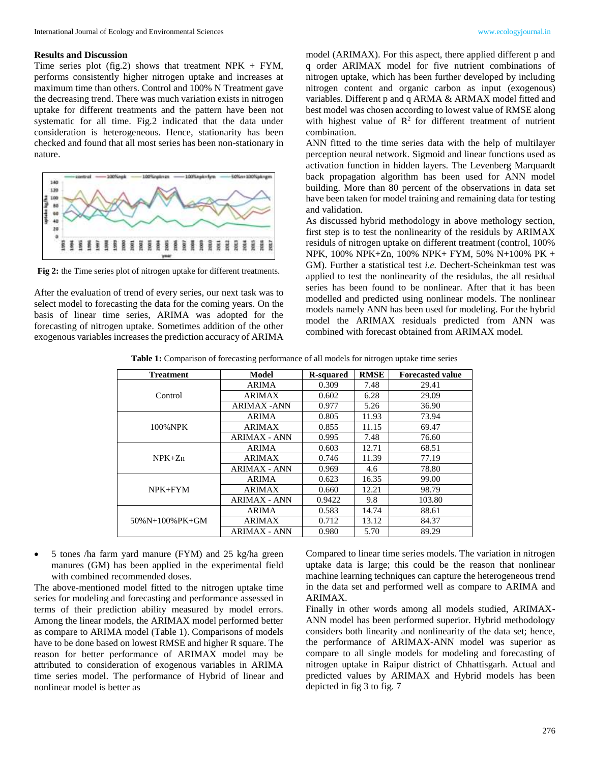## **Results and Discussion**

Time series plot (fig.2) shows that treatment NPK  $+$  FYM, performs consistently higher nitrogen uptake and increases at maximum time than others. Control and 100% N Treatment gave the decreasing trend. There was much variation exists in nitrogen uptake for different treatments and the pattern have been not systematic for all time. Fig.2 indicated that the data under consideration is heterogeneous. Hence, stationarity has been checked and found that all most series has been non-stationary in nature.



**Fig 2:** the Time series plot of nitrogen uptake for different treatments.

After the evaluation of trend of every series, our next task was to select model to forecasting the data for the coming years. On the basis of linear time series, ARIMA was adopted for the forecasting of nitrogen uptake. Sometimes addition of the other exogenous variables increases the prediction accuracy of ARIMA

model (ARIMAX). For this aspect, there applied different p and q order ARIMAX model for five nutrient combinations of nitrogen uptake, which has been further developed by including nitrogen content and organic carbon as input (exogenous) variables. Different p and q ARMA & ARMAX model fitted and best model was chosen according to lowest value of RMSE along with highest value of  $\mathbb{R}^2$  for different treatment of nutrient combination.

ANN fitted to the time series data with the help of multilayer perception neural network. Sigmoid and linear functions used as activation function in hidden layers. The Levenberg Marquardt back propagation algorithm has been used for ANN model building. More than 80 percent of the observations in data set have been taken for model training and remaining data for testing and validation.

As discussed hybrid methodology in above methology section, first step is to test the nonlinearity of the residuls by ARIMAX residuls of nitrogen uptake on different treatment (control, 100% NPK, 100% NPK+Zn, 100% NPK+ FYM, 50% N+100% PK + GM). Further a statistical test *i.e.* Dechert-Scheinkman test was applied to test the nonlinearity of the residulas, the all residual series has been found to be nonlinear. After that it has been modelled and predicted using nonlinear models. The nonlinear models namely ANN has been used for modeling. For the hybrid model the ARIMAX residuals predicted from ANN was combined with forecast obtained from ARIMAX model.

**Table 1:** Comparison of forecasting performance of all models for nitrogen uptake time series

| <b>Treatment</b>   | <b>Model</b>        | <b>R-squared</b> | <b>RMSE</b> | <b>Forecasted value</b> |
|--------------------|---------------------|------------------|-------------|-------------------------|
| Control            | <b>ARIMA</b>        | 0.309            | 7.48        | 29.41                   |
|                    | <b>ARIMAX</b>       | 0.602            | 6.28        | 29.09                   |
|                    | <b>ARIMAX-ANN</b>   | 0.977            | 5.26        | 36.90                   |
| 100% NPK           | <b>ARIMA</b>        | 0.805            | 11.93       | 73.94                   |
|                    | <b>ARIMAX</b>       | 0.855            | 11.15       | 69.47                   |
|                    | <b>ARIMAX - ANN</b> | 0.995            | 7.48        | 76.60                   |
| $NPK+Zn$           | <b>ARIMA</b>        | 0.603            | 12.71       | 68.51                   |
|                    | <b>ARIMAX</b>       | 0.746            | 11.39       | 77.19                   |
|                    | <b>ARIMAX - ANN</b> | 0.969            | 4.6         | 78.80                   |
| $NPK + FYM$        | <b>ARIMA</b>        | 0.623            | 16.35       | 99.00                   |
|                    | <b>ARIMAX</b>       | 0.660            | 12.21       | 98.79                   |
|                    | <b>ARIMAX - ANN</b> | 0.9422           | 9.8         | 103.80                  |
| $50\%N+100\%PK+GM$ | <b>ARIMA</b>        | 0.583            | 14.74       | 88.61                   |
|                    | <b>ARIMAX</b>       | 0.712            | 13.12       | 84.37                   |
|                    | <b>ARIMAX - ANN</b> | 0.980            | 5.70        | 89.29                   |

 5 tones /ha farm yard manure (FYM) and 25 kg/ha green manures (GM) has been applied in the experimental field with combined recommended doses.

The above-mentioned model fitted to the nitrogen uptake time series for modeling and forecasting and performance assessed in terms of their prediction ability measured by model errors. Among the linear models, the ARIMAX model performed better as compare to ARIMA model (Table 1). Comparisons of models have to be done based on lowest RMSE and higher R square. The reason for better performance of ARIMAX model may be attributed to consideration of exogenous variables in ARIMA time series model. The performance of Hybrid of linear and nonlinear model is better as

Compared to linear time series models. The variation in nitrogen uptake data is large; this could be the reason that nonlinear machine learning techniques can capture the heterogeneous trend in the data set and performed well as compare to ARIMA and ARIMAX.

Finally in other words among all models studied, ARIMAX-ANN model has been performed superior. Hybrid methodology considers both linearity and nonlinearity of the data set; hence, the performance of ARIMAX-ANN model was superior as compare to all single models for modeling and forecasting of nitrogen uptake in Raipur district of Chhattisgarh. Actual and predicted values by ARIMAX and Hybrid models has been depicted in fig 3 to fig. 7